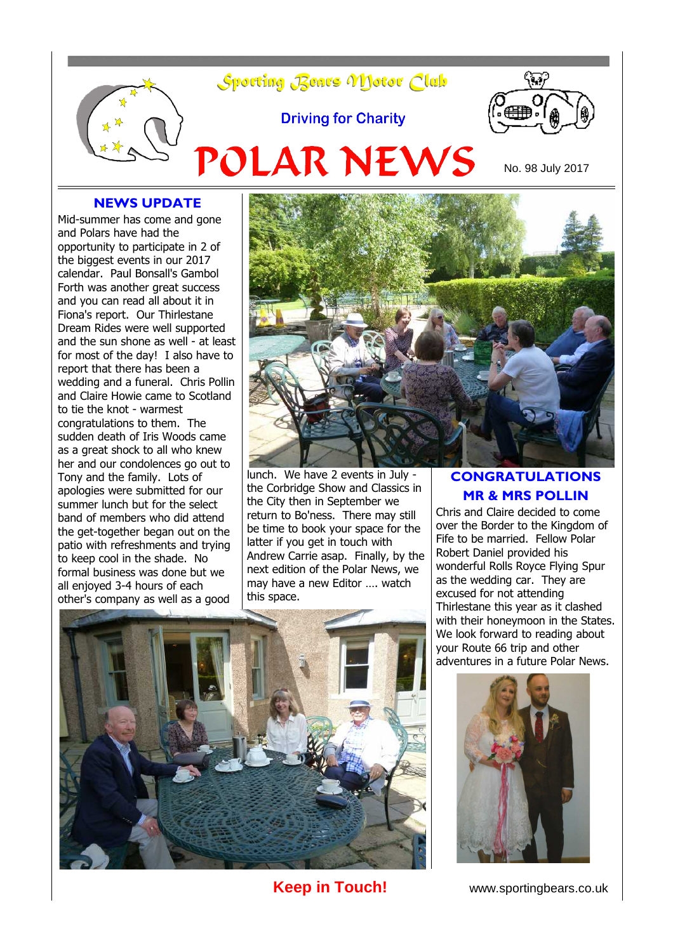

#### **NEWS UPDATE**

Mid-summer has come and gone and Polars have had the opportunity to participate in 2 of the biggest events in our 2017 calendar. Paul Bonsall's Gambol Forth was another great success and you can read all about it in Fiona's report. Our Thirlestane Dream Rides were well supported and the sun shone as well - at least for most of the day! I also have to report that there has been a wedding and a funeral. Chris Pollin and Claire Howie came to Scotland to tie the knot - warmest congratulations to them. The sudden death of Iris Woods came as a great shock to all who knew her and our condolences go out to Tony and the family. Lots of apologies were submitted for our summer lunch but for the select band of members who did attend the get-together began out on the patio with refreshments and trying to keep cool in the shade. No formal business was done but we all enjoyed 3-4 hours of each other's company as well as a good



lunch. We have 2 events in July the Corbridge Show and Classics in the City then in September we return to Bo'ness. There may still be time to book your space for the latter if you get in touch with Andrew Carrie asap. Finally, by the next edition of the Polar News, we may have a new Editor …. watch this space.

#### **CONGRATULATIONS MR & MRS POLLIN**

Chris and Claire decided to come over the Border to the Kingdom of Fife to be married. Fellow Polar Robert Daniel provided his wonderful Rolls Royce Flying Spur as the wedding car. They are excused for not attending Thirlestane this year as it clashed with their honeymoon in the States. We look forward to reading about your Route 66 trip and other adventures in a future Polar News.





**Keep in Touch!** www.sportingbears.co.uk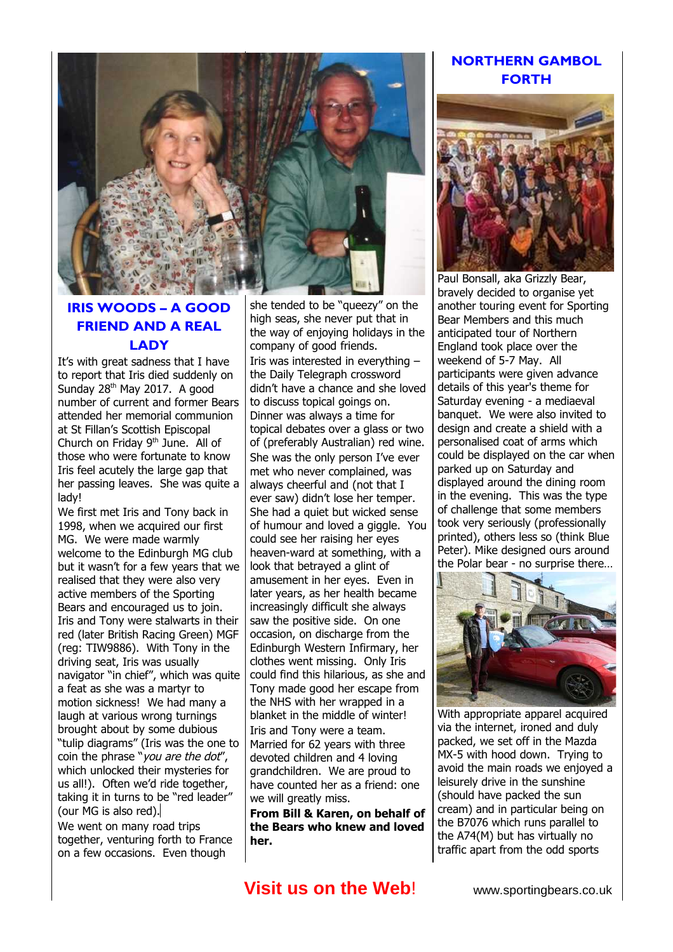

## **IRIS WOODS – A GOOD FRIEND AND A REAL LADY**

It's with great sadness that I have to report that Iris died suddenly on Sunday 28<sup>th</sup> May 2017. A good number of current and former Bears attended her memorial communion at St Fillan's Scottish Episcopal Church on Friday 9<sup>th</sup> June. All of those who were fortunate to know Iris feel acutely the large gap that her passing leaves. She was quite a lady!

We first met Iris and Tony back in 1998, when we acquired our first MG. We were made warmly welcome to the Edinburgh MG club but it wasn't for a few years that we realised that they were also very active members of the Sporting Bears and encouraged us to join. Iris and Tony were stalwarts in their red (later British Racing Green) MGF (reg: TIW9886). With Tony in the driving seat, Iris was usually navigator "in chief", which was quite a feat as she was a martyr to motion sickness! We had many a laugh at various wrong turnings brought about by some dubious "tulip diagrams" (Iris was the one to coin the phrase "you are the dot", which unlocked their mysteries for us all!). Often we'd ride together, taking it in turns to be "red leader" (our MG is also red).

We went on many road trips together, venturing forth to France on a few occasions. Even though

she tended to be "gueezy" on the high seas, she never put that in the way of enjoying holidays in the company of good friends. Iris was interested in everything – the Daily Telegraph crossword didn't have a chance and she loved to discuss topical goings on. Dinner was always a time for topical debates over a glass or two of (preferably Australian) red wine. She was the only person I've ever met who never complained, was always cheerful and (not that I ever saw) didn't lose her temper. She had a quiet but wicked sense of humour and loved a giggle. You could see her raising her eyes heaven-ward at something, with a look that betrayed a glint of amusement in her eyes. Even in later years, as her health became increasingly difficult she always saw the positive side. On one occasion, on discharge from the Edinburgh Western Infirmary, her clothes went missing. Only Iris could find this hilarious, as she and Tony made good her escape from the NHS with her wrapped in a blanket in the middle of winter! Iris and Tony were a team. Married for 62 years with three devoted children and 4 loving grandchildren. We are proud to have counted her as a friend: one we will greatly miss.

**From Bill & Karen, on behalf of the Bears who knew and loved her.**

## **NORTHERN GAMBOL FORTH**



Paul Bonsall, aka Grizzly Bear, bravely decided to organise yet another touring event for Sporting Bear Members and this much anticipated tour of Northern England took place over the weekend of 5-7 May. All participants were given advance details of this year's theme for Saturday evening - a mediaeval banquet. We were also invited to design and create a shield with a personalised coat of arms which could be displayed on the car when parked up on Saturday and displayed around the dining room in the evening. This was the type of challenge that some members took very seriously (professionally printed), others less so (think Blue Peter). Mike designed ours around the Polar bear - no surprise there…



With appropriate apparel acquired via the internet, ironed and duly packed, we set off in the Mazda MX-5 with hood down. Trying to avoid the main roads we enjoyed a leisurely drive in the sunshine (should have packed the sun cream) and in particular being on the B7076 which runs parallel to the A74(M) but has virtually no traffic apart from the odd sports

# **Visit us on the Web!** www.sportingbears.co.uk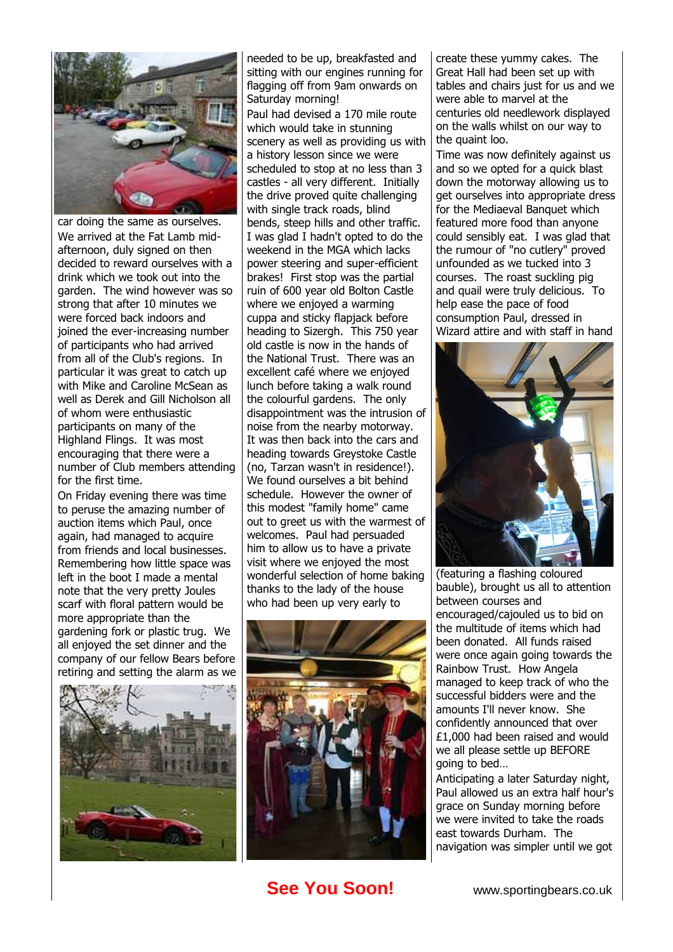

car doing the same as ourselves. We arrived at the Fat Lamb midafternoon, duly signed on then decided to reward ourselves with a drink which we took out into the garden. The wind however was so strong that after 10 minutes we were forced back indoors and joined the ever-increasing number of participants who had arrived from all of the Club's regions. In particular it was great to catch up with Mike and Caroline McSean as well as Derek and Gill Nicholson all of whom were enthusiastic participants on many of the Highland Flings. It was most encouraging that there were a number of Club members attending for the first time.

On Friday evening there was time to peruse the amazing number of auction items which Paul, once again, had managed to acquire from friends and local businesses. Remembering how little space was left in the boot I made a mental note that the very pretty Joules scarf with floral pattern would be more appropriate than the gardening fork or plastic trug. We all enjoyed the set dinner and the company of our fellow Bears before retiring and setting the alarm as we



needed to be up, breakfasted and sitting with our engines running for flagging off from 9am onwards on Saturday morning! Paul had devised a 170 mile route which would take in stunning scenery as well as providing us with a history lesson since we were scheduled to stop at no less than 3 castles - all very different. Initially the drive proved quite challenging with single track roads, blind bends, steep hills and other traffic. I was glad I hadn't opted to do the weekend in the MGA which lacks power steering and super-efficient brakes! First stop was the partial ruin of 600 year old Bolton Castle where we enjoyed a warming cuppa and sticky flapjack before heading to Sizergh. This 750 year old castle is now in the hands of the National Trust. There was an excellent café where we enjoyed lunch before taking a walk round the colourful gardens. The only disappointment was the intrusion of noise from the nearby motorway. It was then back into the cars and heading towards Greystoke Castle (no, Tarzan wasn't in residence!). We found ourselves a bit behind schedule. However the owner of this modest "family home" came out to greet us with the warmest of welcomes. Paul had persuaded him to allow us to have a private visit where we enjoyed the most wonderful selection of home baking thanks to the lady of the house who had been up very early to



create these yummy cakes. The Great Hall had been set up with tables and chairs just for us and we were able to marvel at the centuries old needlework displayed on the walls whilst on our way to the quaint loo.

Time was now definitely against us and so we opted for a quick blast down the motorway allowing us to get ourselves into appropriate dress for the Mediaeval Banquet which featured more food than anyone could sensibly eat. I was glad that the rumour of "no cutlery" proved unfounded as we tucked into 3 courses. The roast suckling pig and quail were truly delicious. To help ease the pace of food consumption Paul, dressed in Wizard attire and with staff in hand



(featuring a flashing coloured bauble), brought us all to attention between courses and encouraged/cajouled us to bid on the multitude of items which had been donated. All funds raised were once again going towards the Rainbow Trust. How Angela managed to keep track of who the successful bidders were and the amounts I'll never know. She confidently announced that over £1,000 had been raised and would we all please settle up BEFORE going to bed…

Anticipating a later Saturday night, Paul allowed us an extra half hour's grace on Sunday morning before we were invited to take the roads east towards Durham. The navigation was simpler until we got

## **See You Soon!** www.sportingbears.co.uk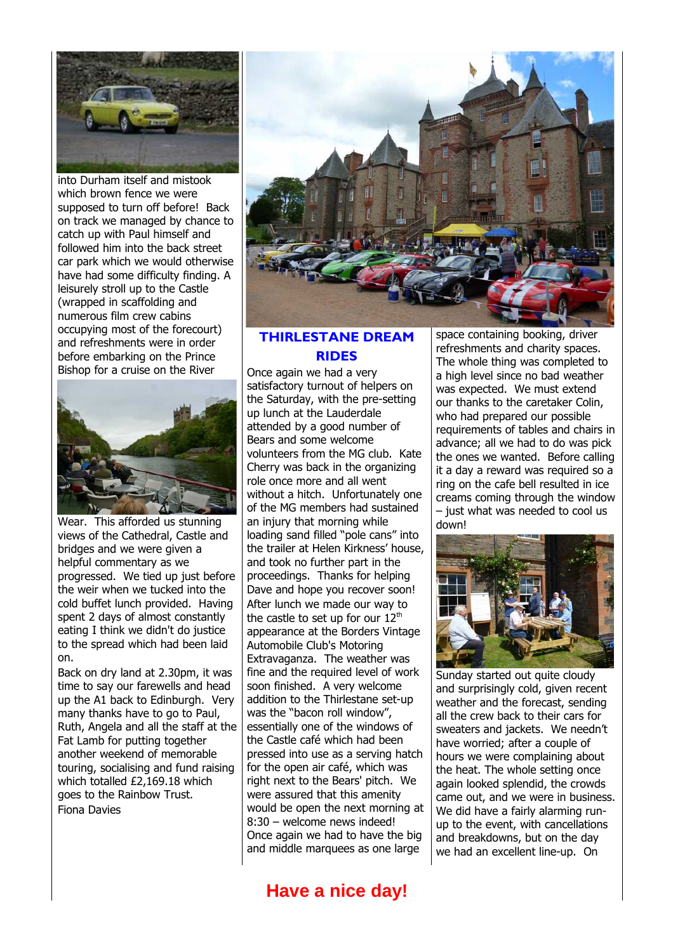

into Durham itself and mistook which brown fence we were supposed to turn off before! Back on track we managed by chance to catch up with Paul himself and followed him into the back street car park which we would otherwise have had some difficulty finding. A leisurely stroll up to the Castle (wrapped in scaffolding and numerous film crew cabins occupying most of the forecourt) and refreshments were in order before embarking on the Prince Bishop for a cruise on the River



Wear. This afforded us stunning views of the Cathedral, Castle and bridges and we were given a helpful commentary as we progressed. We tied up just before the weir when we tucked into the cold buffet lunch provided. Having spent 2 days of almost constantly eating I think we didn't do justice to the spread which had been laid on.

Back on dry land at 2.30pm, it was time to say our farewells and head up the A1 back to Edinburgh. Very many thanks have to go to Paul, Ruth, Angela and all the staff at the Fat Lamb for putting together another weekend of memorable touring, socialising and fund raising which totalled £2,169.18 which goes to the Rainbow Trust. Fiona Davies



#### **THIRLESTANE DREAM RIDES**

Once again we had a very satisfactory turnout of helpers on the Saturday, with the pre-setting up lunch at the Lauderdale attended by a good number of Bears and some welcome volunteers from the MG club. Kate Cherry was back in the organizing role once more and all went without a hitch. Unfortunately one of the MG members had sustained an injury that morning while loading sand filled "pole cans" into the trailer at Helen Kirkness' house, and took no further part in the proceedings. Thanks for helping Dave and hope you recover soon! After lunch we made our way to the castle to set up for our  $12<sup>th</sup>$ appearance at the Borders Vintage Automobile Club's Motoring Extravaganza. The weather was fine and the required level of work soon finished. A very welcome addition to the Thirlestane set-up was the "bacon roll window", essentially one of the windows of the Castle café which had been pressed into use as a serving hatch for the open air café, which was right next to the Bears' pitch. We were assured that this amenity would be open the next morning at 8:30 – welcome news indeed! Once again we had to have the big and middle marquees as one large

space containing booking, driver refreshments and charity spaces. The whole thing was completed to a high level since no bad weather was expected. We must extend our thanks to the caretaker Colin, who had prepared our possible requirements of tables and chairs in advance; all we had to do was pick the ones we wanted. Before calling it a day a reward was required so a ring on the cafe bell resulted in ice creams coming through the window – just what was needed to cool us down!



Sunday started out quite cloudy and surprisingly cold, given recent weather and the forecast, sending all the crew back to their cars for sweaters and jackets. We needn't have worried; after a couple of hours we were complaining about the heat. The whole setting once again looked splendid, the crowds came out, and we were in business. We did have a fairly alarming runup to the event, with cancellations and breakdowns, but on the day we had an excellent line-up. On

# **Have a nice day!**